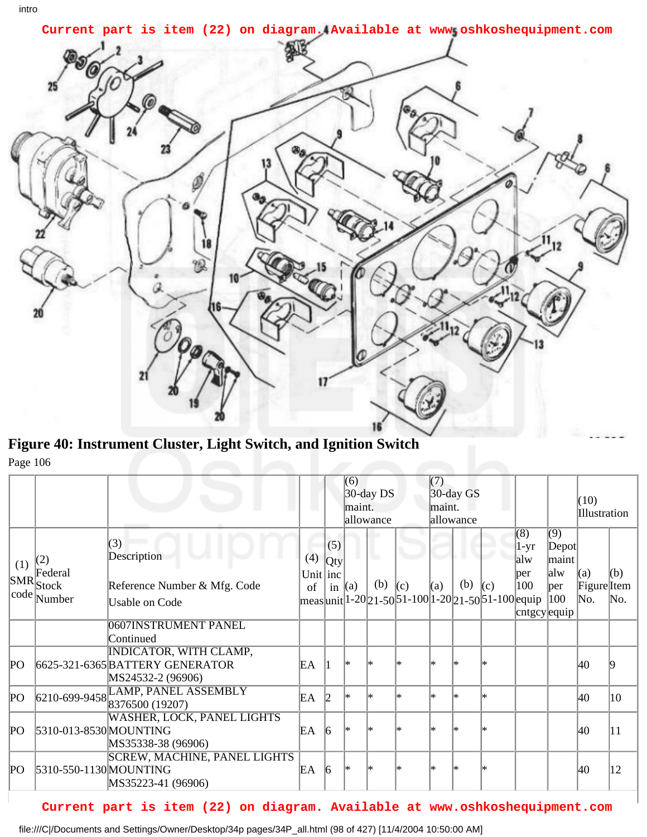

**Figure 40: Instrument Cluster, Light Switch, and Ignition Switch** Page 106

|             |                                                          |                                                                                       |                           |                        | (6)<br>maint. | $30$ -day DS<br>allowance |                                                                      | (7)<br>maint. | $30$ -day GS<br>allowance |     |                                                    |                                                            | (10)<br>Illustration         |            |
|-------------|----------------------------------------------------------|---------------------------------------------------------------------------------------|---------------------------|------------------------|---------------|---------------------------|----------------------------------------------------------------------|---------------|---------------------------|-----|----------------------------------------------------|------------------------------------------------------------|------------------------------|------------|
| (1)         | (2)<br>Federal<br>$ {\rm SMR} $ Stock<br>$ code $ Number | (3)<br>Description<br>Reference Number & Mfg. Code<br>Usable on Code                  | (4)<br>Unit $ $ inc<br>of | (5)<br>Qty<br>in $(a)$ |               | u.<br>(b)                 | (c)<br>  meas  unit  1-20  21-50  51-100  1-20  21-50  51-100  equip | (a)           | (b)                       | (c) | (8)<br>$1-yr$<br>alw<br>per<br>100<br>cntgcy equip | $\overline{(9)}$<br>Depot<br>lmaint<br>alw<br> per <br>100 | (a)<br>Figure<br>Item<br>No. | (b)<br>No. |
|             |                                                          | 0607 INSTRUMENT PANEL<br>Continued                                                    |                           |                        |               |                           |                                                                      |               |                           |     |                                                    |                                                            |                              |            |
| PО          |                                                          | <b>INDICATOR, WITH CLAMP,</b><br>6625-321-6365 BATTERY GENERATOR<br>MS24532-2 (96906) | EΑ                        |                        | l*            |                           |                                                                      | l∗            |                           | l*  |                                                    |                                                            | 40                           |            |
| $P_{\rm O}$ |                                                          | 6210-699-9458 LAMP, PANEL ASSEMBLY                                                    | EА                        | 12                     | l∗            | l*                        | l*                                                                   | l*            | l∗                        | l*  |                                                    |                                                            | 40                           | 10         |
| PО          | 5310-013-8530 MOUNTING                                   | <b>WASHER, LOCK, PANEL LIGHTS</b><br>MS35338-38 (96906)                               | EΑ                        | 16                     | l*            |                           |                                                                      | ∗             |                           |     |                                                    |                                                            | 40                           | 11         |
| PО          | 5310-550-1130 MOUNTING                                   | <b>SCREW, MACHINE, PANEL LIGHTS</b><br>MS35223-41 (96906)                             | EA                        | $\vert 6 \vert$        | l*            |                           |                                                                      | ∗             |                           |     |                                                    |                                                            | 40                           | 12         |

## **Current part is item (22) on diagram. Available at www.oshkoshequipment.com**